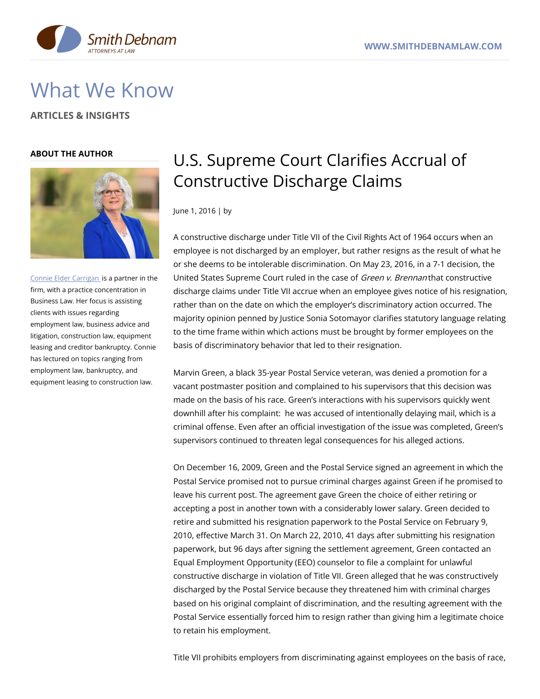

# What We Know

**ARTICLES & INSIGHTS**

### **ABOUT THE AUTHOR**



Connie Elder [Carrigan](https://www.smithdebnamlaw.com/attorneys/connie-carrigan/) is a partner in the firm, with a practice concentration in Business Law. Her focus is assisting clients with issues regarding employment law, business advice and litigation, construction law, equipment leasing and creditor bankruptcy. Connie has lectured on topics ranging from employment law, bankruptcy, and equipment leasing to construction law.

## U.S. Supreme Court Clarifies Accrual of Constructive Discharge Claims

June 1, 2016 | by

A constructive discharge under Title VII of the Civil Rights Act of 1964 occurs when an employee is not discharged by an employer, but rather resigns as the result of what he or she deems to be intolerable discrimination. On May 23, 2016, in a 7-1 decision, the United States Supreme Court ruled in the case of Green v. Brennan that constructive discharge claims under Title VII accrue when an employee gives notice of his resignation, rather than on the date on which the employer's discriminatory action occurred. The majority opinion penned by Justice Sonia Sotomayor clarifies statutory language relating to the time frame within which actions must be brought by former employees on the basis of discriminatory behavior that led to their resignation.

Marvin Green, a black 35-year Postal Service veteran, was denied a promotion for a vacant postmaster position and complained to his supervisors that this decision was made on the basis of his race. Green's interactions with his supervisors quickly went downhill after his complaint: he was accused of intentionally delaying mail, which is a criminal offense. Even after an official investigation of the issue was completed, Green's supervisors continued to threaten legal consequences for his alleged actions.

On December 16, 2009, Green and the Postal Service signed an agreement in which the Postal Service promised not to pursue criminal charges against Green if he promised to leave his current post. The agreement gave Green the choice of either retiring or accepting a post in another town with a considerably lower salary. Green decided to retire and submitted his resignation paperwork to the Postal Service on February 9, 2010, effective March 31. On March 22, 2010, 41 days after submitting his resignation paperwork, but 96 days after signing the settlement agreement, Green contacted an Equal Employment Opportunity (EEO) counselor to file a complaint for unlawful constructive discharge in violation of Title VII. Green alleged that he was constructively discharged by the Postal Service because they threatened him with criminal charges based on his original complaint of discrimination, and the resulting agreement with the Postal Service essentially forced him to resign rather than giving him a legitimate choice to retain his employment.

Title VII prohibits employers from discriminating against employees on the basis of race,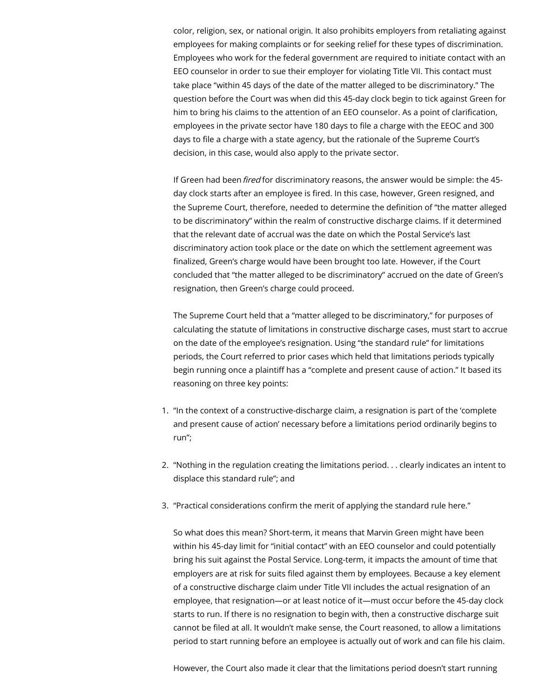color, religion, sex, or national origin. It also prohibits employers from retaliating against employees for making complaints or for seeking relief for these types of discrimination. Employees who work for the federal government are required to initiate contact with an EEO counselor in order to sue their employer for violating Title VII. This contact must take place "within 45 days of the date of the matter alleged to be discriminatory." The question before the Court was when did this 45-day clock begin to tick against Green for him to bring his claims to the attention of an EEO counselor. As a point of clarification, employees in the private sector have 180 days to file a charge with the EEOC and 300 days to file a charge with a state agency, but the rationale of the Supreme Court's decision, in this case, would also apply to the private sector.

If Green had been fired for discriminatory reasons, the answer would be simple: the 45day clock starts after an employee is fired. In this case, however, Green resigned, and the Supreme Court, therefore, needed to determine the definition of "the matter alleged to be discriminatory" within the realm of constructive discharge claims. If it determined that the relevant date of accrual was the date on which the Postal Service's last discriminatory action took place or the date on which the settlement agreement was finalized, Green's charge would have been brought too late. However, if the Court concluded that "the matter alleged to be discriminatory" accrued on the date of Green's resignation, then Green's charge could proceed.

The Supreme Court held that a "matter alleged to be discriminatory," for purposes of calculating the statute of limitations in constructive discharge cases, must start to accrue on the date of the employee's resignation. Using "the standard rule" for limitations periods, the Court referred to prior cases which held that limitations periods typically begin running once a plaintiff has a "complete and present cause of action." It based its reasoning on three key points:

- 1. "In the context of a constructive-discharge claim, a resignation is part of the 'complete and present cause of action' necessary before a limitations period ordinarily begins to run";
- 2. "Nothing in the regulation creating the limitations period. . . clearly indicates an intent to displace this standard rule"; and
- 3. "Practical considerations confirm the merit of applying the standard rule here."

So what does this mean? Short-term, it means that Marvin Green might have been within his 45-day limit for "initial contact" with an EEO counselor and could potentially bring his suit against the Postal Service. Long-term, it impacts the amount of time that employers are at risk for suits filed against them by employees. Because a key element of a constructive discharge claim under Title VII includes the actual resignation of an employee, that resignation—or at least notice of it—must occur before the 45-day clock starts to run. If there is no resignation to begin with, then a constructive discharge suit cannot be filed at all. It wouldn't make sense, the Court reasoned, to allow a limitations period to start running before an employee is actually out of work and can file his claim.

However, the Court also made it clear that the limitations period doesn't start running